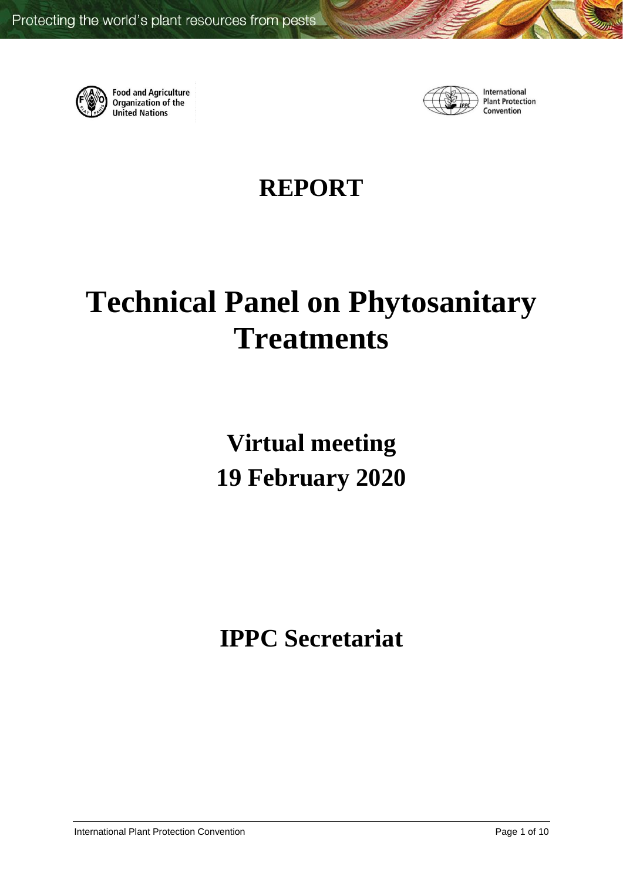

**Food and Agriculture**<br>Organization of the **United Nations** 



International **Plant Protection** Convention

# **REPORT**

# **Technical Panel on Phytosanitary Treatments**

**Virtual meeting 19 February 2020**

**IPPC Secretariat**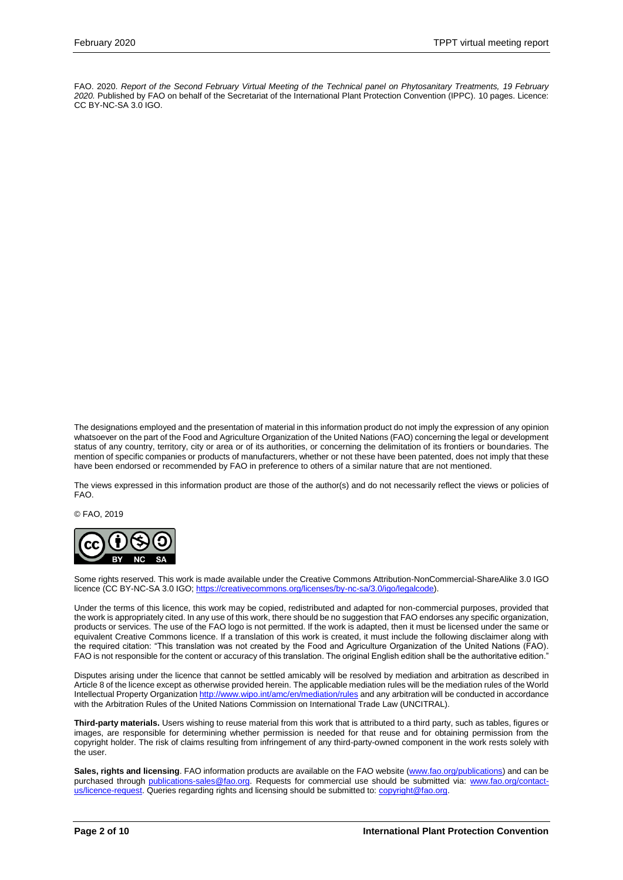FAO. 2020. *Report of the Second February Virtual Meeting of the Technical panel on Phytosanitary Treatments, 19 February 2020.* Published by FAO on behalf of the Secretariat of the International Plant Protection Convention (IPPC). 10 pages. Licence: CC BY-NC-SA 3.0 IGO.

The designations employed and the presentation of material in this information product do not imply the expression of any opinion whatsoever on the part of the Food and Agriculture Organization of the United Nations (FAO) concerning the legal or development status of any country, territory, city or area or of its authorities, or concerning the delimitation of its frontiers or boundaries. The mention of specific companies or products of manufacturers, whether or not these have been patented, does not imply that these have been endorsed or recommended by FAO in preference to others of a similar nature that are not mentioned.

The views expressed in this information product are those of the author(s) and do not necessarily reflect the views or policies of FAO.

© FAO, 2019



Some rights reserved. This work is made available under the Creative Commons Attribution-NonCommercial-ShareAlike 3.0 IGO licence (CC BY-NC-SA 3.0 IGO[; https://creativecommons.org/licenses/by-nc-sa/3.0/igo/legalcode\)](https://creativecommons.org/licenses/by-nc-sa/3.0/igo/legalcode).

Under the terms of this licence, this work may be copied, redistributed and adapted for non-commercial purposes, provided that the work is appropriately cited. In any use of this work, there should be no suggestion that FAO endorses any specific organization, products or services. The use of the FAO logo is not permitted. If the work is adapted, then it must be licensed under the same or equivalent Creative Commons licence. If a translation of this work is created, it must include the following disclaimer along with the required citation: "This translation was not created by the Food and Agriculture Organization of the United Nations (FAO). FAO is not responsible for the content or accuracy of this translation. The original English edition shall be the authoritative edition.

Disputes arising under the licence that cannot be settled amicably will be resolved by mediation and arbitration as described in Article 8 of the licence except as otherwise provided herein. The applicable mediation rules will be the mediation rules of the World Intellectual Property Organizatio[n http://www.wipo.int/amc/en/mediation/rules](http://www.wipo.int/amc/en/mediation/rules) and any arbitration will be conducted in accordance with the Arbitration Rules of the United Nations Commission on International Trade Law (UNCITRAL).

**Third-party materials.** Users wishing to reuse material from this work that is attributed to a third party, such as tables, figures or images, are responsible for determining whether permission is needed for that reuse and for obtaining permission from the copyright holder. The risk of claims resulting from infringement of any third-party-owned component in the work rests solely with the user.

Sales, rights and licensing. FAO information products are available on the FAO website [\(www.fao.org/publications\)](http://www.fao.org/publications) and can be purchased through [publications-sales@fao.org.](mailto:publications-sales@fao.org) Requests for commercial use should be submitted via: [www.fao.org/contact](http://www.fao.org/contact-us/licence-request)[us/licence-request.](http://www.fao.org/contact-us/licence-request) Queries regarding rights and licensing should be submitted to: [copyright@fao.org.](mailto:copyright@fao.org)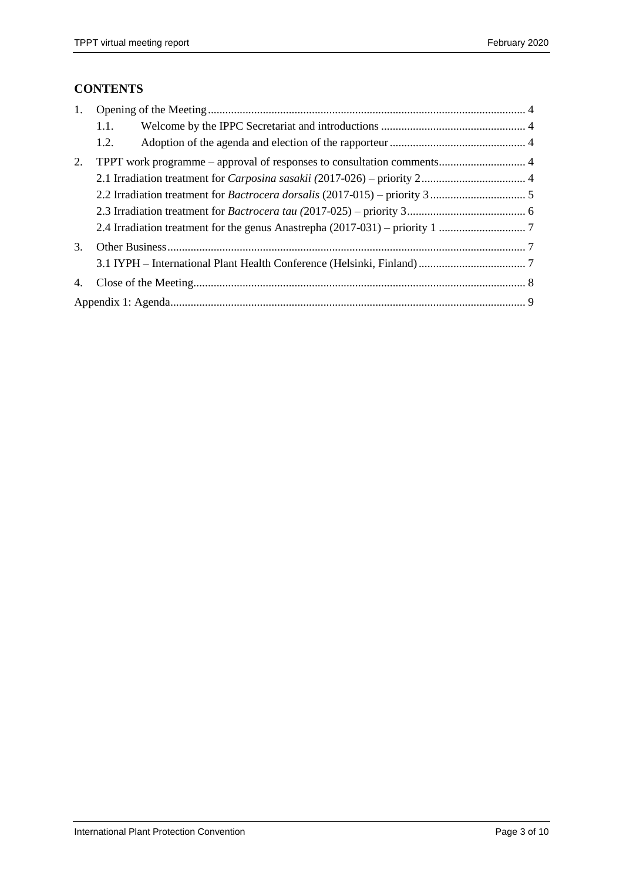### **CONTENTS**

| 1. |      |  |  |  |
|----|------|--|--|--|
|    | 1.1. |  |  |  |
|    | 1.2. |  |  |  |
| 2. |      |  |  |  |
|    |      |  |  |  |
|    |      |  |  |  |
|    |      |  |  |  |
|    |      |  |  |  |
| 3. |      |  |  |  |
|    |      |  |  |  |
| 4. |      |  |  |  |
|    |      |  |  |  |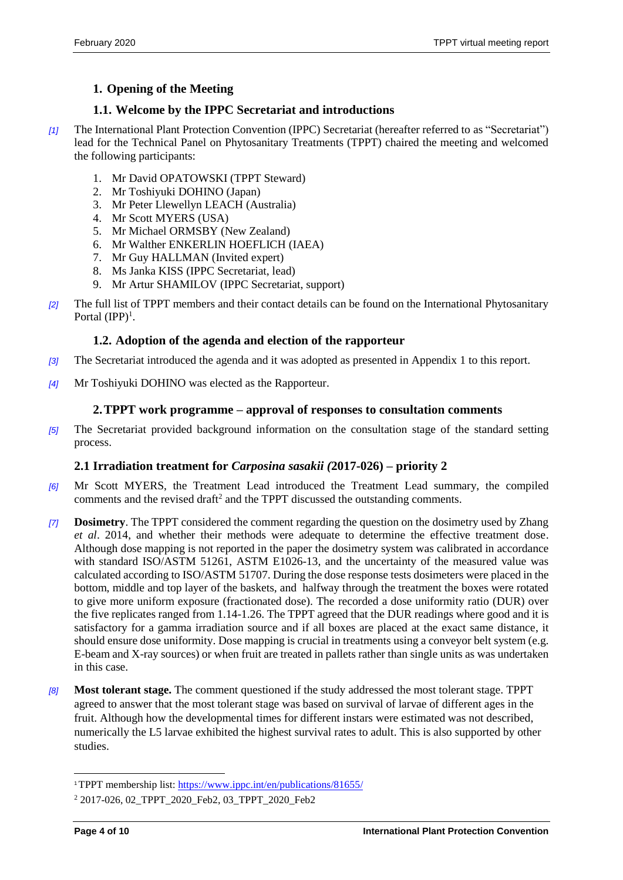## <span id="page-3-0"></span>**1. Opening of the Meeting**

#### <span id="page-3-1"></span>**1.1. Welcome by the IPPC Secretariat and introductions**

- *[1]* The International Plant Protection Convention (IPPC) Secretariat (hereafter referred to as "Secretariat") lead for the Technical Panel on Phytosanitary Treatments (TPPT) chaired the meeting and welcomed the following participants:
	- 1. Mr David OPATOWSKI (TPPT Steward)
	- 2. Mr Toshiyuki DOHINO (Japan)
	- 3. Mr Peter Llewellyn LEACH (Australia)
	- 4. Mr Scott MYERS (USA)
	- 5. Mr Michael ORMSBY (New Zealand)
	- 6. Mr Walther ENKERLIN HOEFLICH (IAEA)
	- 7. Mr Guy HALLMAN (Invited expert)
	- 8. Ms Janka KISS (IPPC Secretariat, lead)
	- 9. Mr Artur SHAMILOV (IPPC Secretariat, support)
- *[2]* The full list of TPPT members and their contact details can be found on the International Phytosanitary Portal  $(IPP)^1$ .

#### <span id="page-3-2"></span>**1.2. Adoption of the agenda and election of the rapporteur**

- *[3]* The Secretariat introduced the agenda and it was adopted as presented in Appendix 1 to this report.
- *[4]* Mr Toshiyuki DOHINO was elected as the Rapporteur.

#### <span id="page-3-4"></span><span id="page-3-3"></span>**2.TPPT work programme – approval of responses to consultation comments**

*[5]* The Secretariat provided background information on the consultation stage of the standard setting process.

#### **2.1 Irradiation treatment for** *Carposina sasakii (***2017-026) – priority 2**

- *[6]* Mr Scott MYERS, the Treatment Lead introduced the Treatment Lead summary, the compiled comments and the revised draft<sup>2</sup> and the TPPT discussed the outstanding comments.
- *[7]* **Dosimetry**. The TPPT considered the comment regarding the question on the dosimetry used by Zhang *et al*. 2014, and whether their methods were adequate to determine the effective treatment dose. Although dose mapping is not reported in the paper the dosimetry system was calibrated in accordance with standard ISO/ASTM 51261, ASTM E1026-13, and the uncertainty of the measured value was calculated according to ISO/ASTM 51707. During the dose response tests dosimeters were placed in the bottom, middle and top layer of the baskets, and halfway through the treatment the boxes were rotated to give more uniform exposure (fractionated dose). The recorded a dose uniformity ratio (DUR) over the five replicates ranged from 1.14-1.26. The TPPT agreed that the DUR readings where good and it is satisfactory for a gamma irradiation source and if all boxes are placed at the exact same distance, it should ensure dose uniformity. Dose mapping is crucial in treatments using a conveyor belt system (e.g. E-beam and X-ray sources) or when fruit are treated in pallets rather than single units as was undertaken in this case.
- *[8]* **Most tolerant stage.** The comment questioned if the study addressed the most tolerant stage. TPPT agreed to answer that the most tolerant stage was based on survival of larvae of different ages in the fruit. Although how the developmental times for different instars were estimated was not described, numerically the L5 larvae exhibited the highest survival rates to adult. This is also supported by other studies.

l

<sup>1</sup>TPPT membership list:<https://www.ippc.int/en/publications/81655/>

<sup>2</sup> 2017-026, 02\_TPPT\_2020\_Feb2, 03\_TPPT\_2020\_Feb2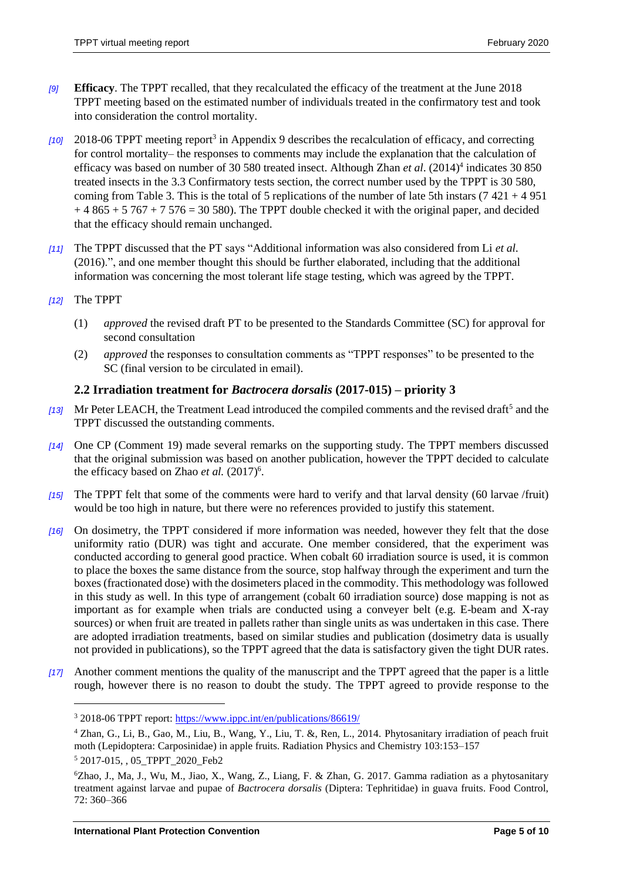- *[9]* **Efficacy**. The TPPT recalled, that they recalculated the efficacy of the treatment at the June 2018 TPPT meeting based on the estimated number of individuals treated in the confirmatory test and took into consideration the control mortality.
- [10] 2018-06 TPPT meeting report<sup>3</sup> in Appendix 9 describes the recalculation of efficacy, and correcting for control mortality– the responses to comments may include the explanation that the calculation of efficacy was based on number of 30 580 treated insect. Although Zhan *et al*. (2014)<sup>4</sup> indicates 30 850 treated insects in the 3.3 Confirmatory tests section, the correct number used by the TPPT is 30 580, coming from Table 3. This is the total of 5 replications of the number of late 5th instars (7 421 + 4 951  $+ 4865 + 5767 + 7576 = 30580$ . The TPPT double checked it with the original paper, and decided that the efficacy should remain unchanged.
- *[11]* The TPPT discussed that the PT says "Additional information was also considered from Li *et al.* (2016).", and one member thought this should be further elaborated, including that the additional information was concerning the most tolerant life stage testing, which was agreed by the TPPT.
- *[12]* The TPPT
	- (1) *approved* the revised draft PT to be presented to the Standards Committee (SC) for approval for second consultation
	- (2) *approved* the responses to consultation comments as "TPPT responses" to be presented to the SC (final version to be circulated in email).

#### <span id="page-4-0"></span>**2.2 Irradiation treatment for** *Bactrocera dorsalis* **(2017-015) – priority 3**

- [13] Mr Peter LEACH, the Treatment Lead introduced the compiled comments and the revised draft<sup>5</sup> and the TPPT discussed the outstanding comments.
- *[14]* One CP (Comment 19) made several remarks on the supporting study. The TPPT members discussed that the original submission was based on another publication, however the TPPT decided to calculate the efficacy based on Zhao *et al.* (2017)<sup>6</sup>.
- *[15]* The TPPT felt that some of the comments were hard to verify and that larval density (60 larvae /fruit) would be too high in nature, but there were no references provided to justify this statement.
- *[16]* On dosimetry, the TPPT considered if more information was needed, however they felt that the dose uniformity ratio (DUR) was tight and accurate. One member considered, that the experiment was conducted according to general good practice. When cobalt 60 irradiation source is used, it is common to place the boxes the same distance from the source, stop halfway through the experiment and turn the boxes (fractionated dose) with the dosimeters placed in the commodity. This methodology was followed in this study as well. In this type of arrangement (cobalt 60 irradiation source) dose mapping is not as important as for example when trials are conducted using a conveyer belt (e.g. E-beam and X-ray sources) or when fruit are treated in pallets rather than single units as was undertaken in this case. There are adopted irradiation treatments, based on similar studies and publication (dosimetry data is usually not provided in publications), so the TPPT agreed that the data is satisfactory given the tight DUR rates.
- *[17]* Another comment mentions the quality of the manuscript and the TPPT agreed that the paper is a little rough, however there is no reason to doubt the study. The TPPT agreed to provide response to the

 $\overline{a}$ 

<sup>3</sup> 2018-06 TPPT report[: https://www.ippc.int/en/publications/86619/](https://www.ippc.int/en/publications/86619/)

<sup>4</sup> Zhan, G., Li, B., Gao, M., Liu, B., Wang, Y., Liu, T. &, Ren, L., 2014. Phytosanitary irradiation of peach fruit moth (Lepidoptera: Carposinidae) in apple fruits. Radiation Physics and Chemistry 103:153–157

<sup>5</sup> 2017-015, , 05\_TPPT\_2020\_Feb2

<sup>6</sup>Zhao, J., Ma, J., Wu, M., Jiao, X., Wang, Z., Liang, F. & Zhan, G. 2017. Gamma radiation as a phytosanitary treatment against larvae and pupae of *Bactrocera dorsalis* (Diptera: Tephritidae) in guava fruits. Food Control, 72: 360–366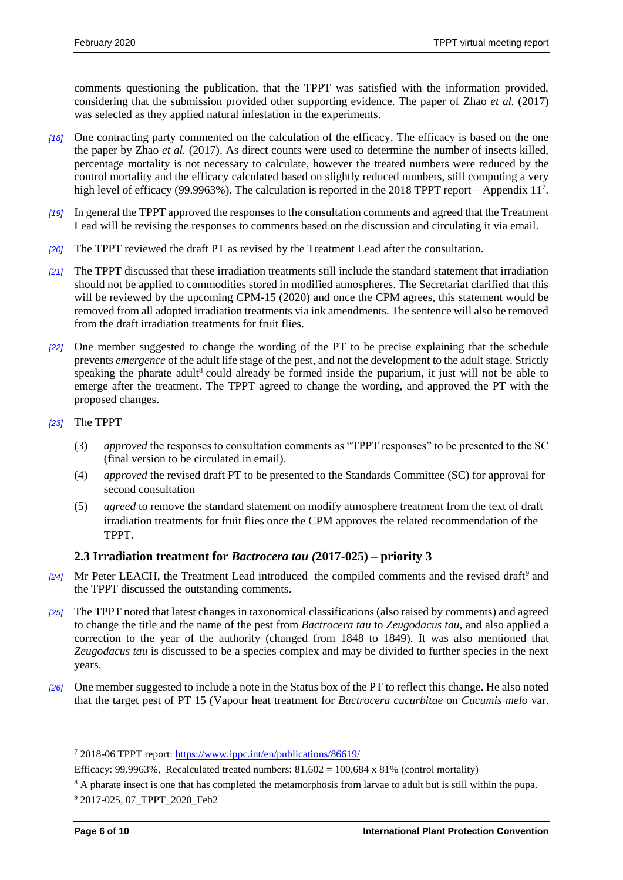comments questioning the publication, that the TPPT was satisfied with the information provided, considering that the submission provided other supporting evidence. The paper of Zhao *et al.* (2017) was selected as they applied natural infestation in the experiments.

- *[18]* One contracting party commented on the calculation of the efficacy. The efficacy is based on the one the paper by Zhao *et al.* (2017). As direct counts were used to determine the number of insects killed, percentage mortality is not necessary to calculate, however the treated numbers were reduced by the control mortality and the efficacy calculated based on slightly reduced numbers, still computing a very high level of efficacy (99.9963%). The calculation is reported in the 2018 TPPT report – Appendix 11<sup>7</sup>.
- *[19]* In general the TPPT approved the responses to the consultation comments and agreed that the Treatment Lead will be revising the responses to comments based on the discussion and circulating it via email.
- *[20]* The TPPT reviewed the draft PT as revised by the Treatment Lead after the consultation.
- *[21]* The TPPT discussed that these irradiation treatments still include the standard statement that irradiation should not be applied to commodities stored in modified atmospheres. The Secretariat clarified that this will be reviewed by the upcoming CPM-15 (2020) and once the CPM agrees, this statement would be removed from all adopted irradiation treatments via ink amendments. The sentence will also be removed from the draft irradiation treatments for fruit flies.
- *[22]* One member suggested to change the wording of the PT to be precise explaining that the schedule prevents *emergence* of the adult life stage of the pest, and not the development to the adult stage. Strictly speaking the pharate adult<sup>8</sup> could already be formed inside the puparium, it just will not be able to emerge after the treatment. The TPPT agreed to change the wording, and approved the PT with the proposed changes.
- *[23]* The TPPT
	- (3) *approved* the responses to consultation comments as "TPPT responses" to be presented to the SC (final version to be circulated in email).
	- (4) *approved* the revised draft PT to be presented to the Standards Committee (SC) for approval for second consultation
	- (5) *agreed* to remove the standard statement on modify atmosphere treatment from the text of draft irradiation treatments for fruit flies once the CPM approves the related recommendation of the TPPT.

#### <span id="page-5-0"></span>**2.3 Irradiation treatment for** *Bactrocera tau (***2017-025) – priority 3**

- [24] Mr Peter LEACH, the Treatment Lead introduced the compiled comments and the revised draft<sup>9</sup> and the TPPT discussed the outstanding comments.
- *[25]* The TPPT noted that latest changes in taxonomical classifications (also raised by comments) and agreed to change the title and the name of the pest from *Bactrocera tau* to *Zeugodacus tau*, and also applied a correction to the year of the authority (changed from 1848 to 1849). It was also mentioned that *Zeugodacus tau* is discussed to be a species complex and may be divided to further species in the next years.
- *[26]* One member suggested to include a note in the Status box of the PT to reflect this change. He also noted that the target pest of PT 15 (Vapour heat treatment for *Bactrocera cucurbitae* on *Cucumis melo* var.

 $\overline{a}$ 

<sup>7</sup> 2018-06 TPPT report[: https://www.ippc.int/en/publications/86619/](https://www.ippc.int/en/publications/86619/)

Efficacy: 99.9963%, Recalculated treated numbers:  $81,602 = 100,684 \times 81\%$  (control mortality)

<sup>&</sup>lt;sup>8</sup> A pharate insect is one that has completed the metamorphosis from larvae to adult but is still within the pupa.

<sup>9</sup> 2017-025, 07\_TPPT\_2020\_Feb2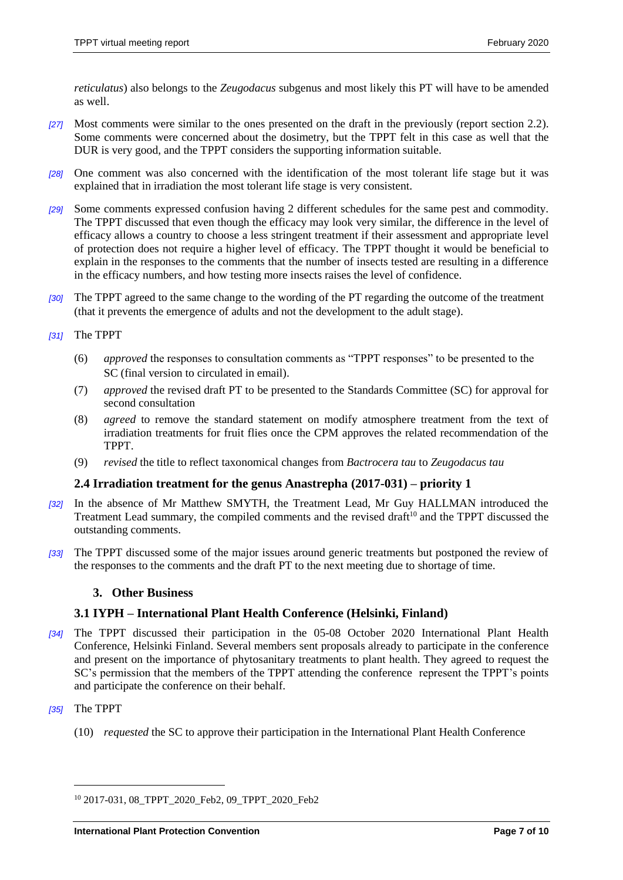*reticulatus*) also belongs to the *Zeugodacus* subgenus and most likely this PT will have to be amended as well.

- *[27]* Most comments were similar to the ones presented on the draft in the previously (report section 2.2). Some comments were concerned about the dosimetry, but the TPPT felt in this case as well that the DUR is very good, and the TPPT considers the supporting information suitable.
- *[28]* One comment was also concerned with the identification of the most tolerant life stage but it was explained that in irradiation the most tolerant life stage is very consistent.
- *[29]* Some comments expressed confusion having 2 different schedules for the same pest and commodity. The TPPT discussed that even though the efficacy may look very similar, the difference in the level of efficacy allows a country to choose a less stringent treatment if their assessment and appropriate level of protection does not require a higher level of efficacy. The TPPT thought it would be beneficial to explain in the responses to the comments that the number of insects tested are resulting in a difference in the efficacy numbers, and how testing more insects raises the level of confidence.
- *[30]* The TPPT agreed to the same change to the wording of the PT regarding the outcome of the treatment (that it prevents the emergence of adults and not the development to the adult stage).
- *[31]* The TPPT
	- (6) *approved* the responses to consultation comments as "TPPT responses" to be presented to the SC (final version to circulated in email).
	- (7) *approved* the revised draft PT to be presented to the Standards Committee (SC) for approval for second consultation
	- (8) *agreed* to remove the standard statement on modify atmosphere treatment from the text of irradiation treatments for fruit flies once the CPM approves the related recommendation of the TPPT.
	- (9) *revised* the title to reflect taxonomical changes from *Bactrocera tau* to *Zeugodacus tau*

#### <span id="page-6-0"></span>**2.4 Irradiation treatment for the genus Anastrepha (2017-031) – priority 1**

- *[32]* In the absence of Mr Matthew SMYTH, the Treatment Lead, Mr Guy HALLMAN introduced the Treatment Lead summary, the compiled comments and the revised draft<sup>10</sup> and the TPPT discussed the outstanding comments.
- *[33]* The TPPT discussed some of the major issues around generic treatments but postponed the review of the responses to the comments and the draft PT to the next meeting due to shortage of time.

#### <span id="page-6-1"></span>**3. Other Business**

#### <span id="page-6-2"></span>**3.1 IYPH – International Plant Health Conference (Helsinki, Finland)**

- *[34]* The TPPT discussed their participation in the 05-08 October 2020 International Plant Health Conference, Helsinki Finland. Several members sent proposals already to participate in the conference and present on the importance of phytosanitary treatments to plant health. They agreed to request the SC's permission that the members of the TPPT attending the conference represent the TPPT's points and participate the conference on their behalf.
- *[35]* The TPPT

 $\overline{a}$ 

(10) *requested* the SC to approve their participation in the International Plant Health Conference

<sup>10</sup> 2017-031, 08\_TPPT\_2020\_Feb2, 09\_TPPT\_2020\_Feb2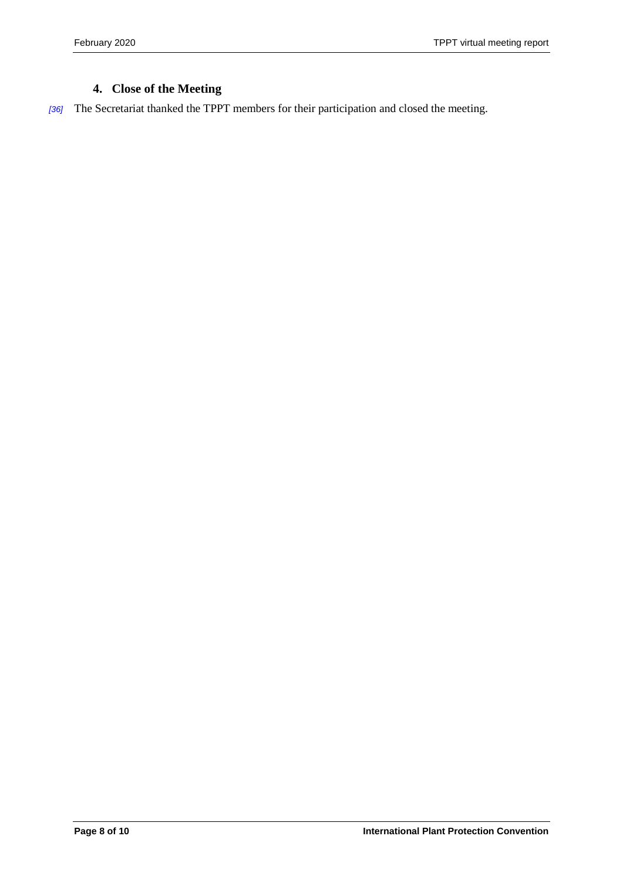# <span id="page-7-0"></span>**4. Close of the Meeting**

*[36]* The Secretariat thanked the TPPT members for their participation and closed the meeting.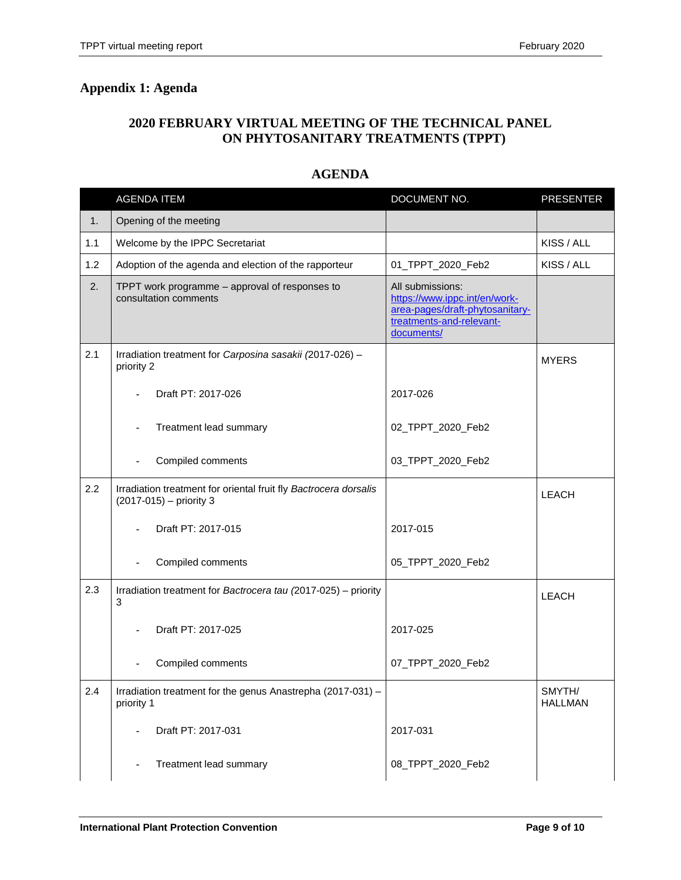# **2020 FEBRUARY VIRTUAL MEETING OF THE TECHNICAL PANEL ON PHYTOSANITARY TREATMENTS (TPPT)**

#### **AGENDA**

<span id="page-8-0"></span>

|     | <b>AGENDA ITEM</b>                                                                          | DOCUMENT NO.                                                                                                                   | <b>PRESENTER</b>         |
|-----|---------------------------------------------------------------------------------------------|--------------------------------------------------------------------------------------------------------------------------------|--------------------------|
| 1.  | Opening of the meeting                                                                      |                                                                                                                                |                          |
| 1.1 | Welcome by the IPPC Secretariat                                                             |                                                                                                                                | KISS / ALL               |
| 1.2 | Adoption of the agenda and election of the rapporteur                                       | 01_TPPT_2020_Feb2                                                                                                              | KISS / ALL               |
| 2.  | TPPT work programme - approval of responses to<br>consultation comments                     | All submissions:<br>https://www.ippc.int/en/work-<br>area-pages/draft-phytosanitary-<br>treatments-and-relevant-<br>documents/ |                          |
| 2.1 | Irradiation treatment for Carposina sasakii (2017-026) -<br>priority 2                      |                                                                                                                                | <b>MYERS</b>             |
|     | Draft PT: 2017-026                                                                          | 2017-026                                                                                                                       |                          |
|     | Treatment lead summary                                                                      | 02_TPPT_2020_Feb2                                                                                                              |                          |
|     | Compiled comments                                                                           | 03_TPPT_2020_Feb2                                                                                                              |                          |
| 2.2 | Irradiation treatment for oriental fruit fly Bactrocera dorsalis<br>(2017-015) - priority 3 |                                                                                                                                | <b>LEACH</b>             |
|     | Draft PT: 2017-015                                                                          | 2017-015                                                                                                                       |                          |
|     | Compiled comments                                                                           | 05_TPPT_2020_Feb2                                                                                                              |                          |
| 2.3 | Irradiation treatment for Bactrocera tau (2017-025) - priority<br>3                         |                                                                                                                                | <b>LEACH</b>             |
|     | Draft PT: 2017-025                                                                          | 2017-025                                                                                                                       |                          |
|     | Compiled comments                                                                           | 07_TPPT_2020_Feb2                                                                                                              |                          |
| 2.4 | Irradiation treatment for the genus Anastrepha (2017-031) -<br>priority 1                   |                                                                                                                                | SMYTH/<br><b>HALLMAN</b> |
|     | Draft PT: 2017-031                                                                          | 2017-031                                                                                                                       |                          |
|     | Treatment lead summary                                                                      | 08_TPPT_2020_Feb2                                                                                                              |                          |